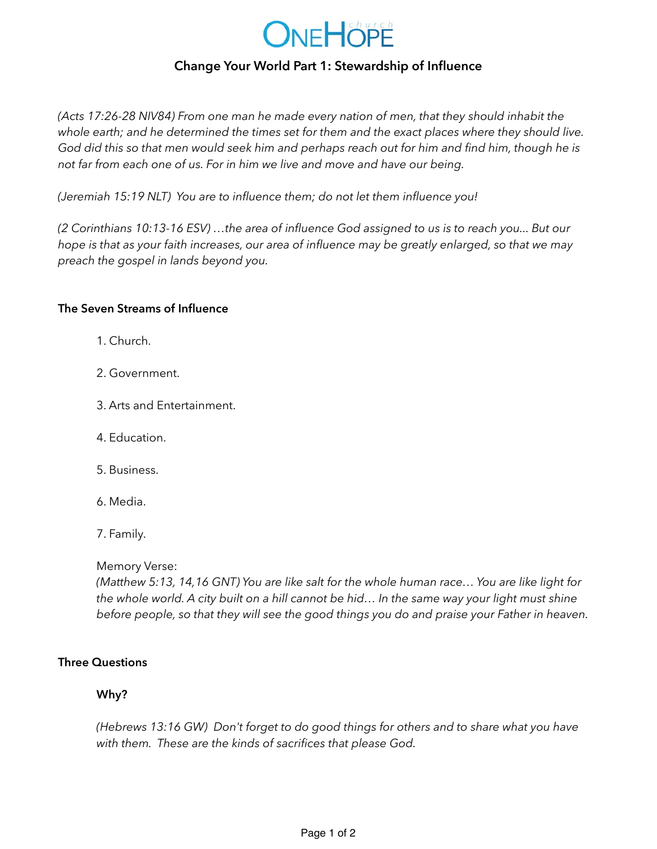

# **Change Your World Part 1: Stewardship of Influence**

*(Acts 17:26-28 NIV84) From one man he made every nation of men, that they should inhabit the whole earth; and he determined the times set for them and the exact places where they should live. God did this so that men would seek him and perhaps reach out for him and find him, though he is not far from each one of us. For in him we live and move and have our being.* 

*(Jeremiah 15:19 NLT) You are to influence them; do not let them influence you!* 

*(2 Corinthians 10:13-16 ESV) …the area of influence God assigned to us is to reach you... But our hope is that as your faith increases, our area of influence may be greatly enlarged, so that we may preach the gospel in lands beyond you.*

#### **The Seven Streams of Influence**

- 1. Church.
- 2. Government.
- 3. Arts and Entertainment.
- 4. Education.
- 5. Business.
- 6. Media.
- 7. Family.

Memory Verse:

*(Matthew 5:13, 14,16 GNT) You are like salt for the whole human race… You are like light for the whole world. A city built on a hill cannot be hid… In the same way your light must shine before people, so that they will see the good things you do and praise your Father in heaven.* 

### **Three Questions**

#### **Why?**

*(Hebrews 13:16 GW) Don't forget to do good things for others and to share what you have with them. These are the kinds of sacrifices that please God.*